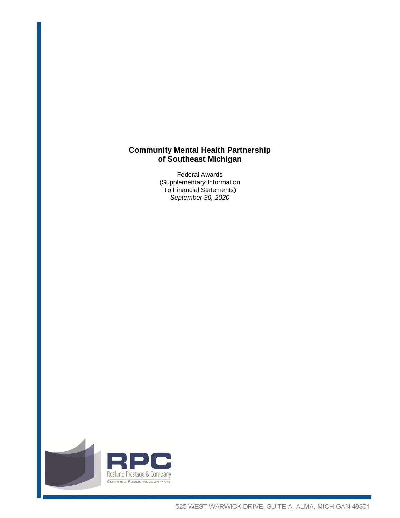## **Community Mental Health Partnership of Southeast Michigan**

Federal Awards (Supplementary Information To Financial Statements) *September 30, 2020*

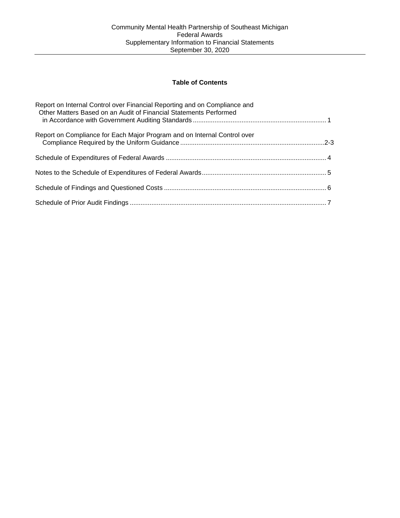## **Table of Contents**

| Report on Internal Control over Financial Reporting and on Compliance and<br>Other Matters Based on an Audit of Financial Statements Performed |  |
|------------------------------------------------------------------------------------------------------------------------------------------------|--|
| Report on Compliance for Each Major Program and on Internal Control over                                                                       |  |
|                                                                                                                                                |  |
|                                                                                                                                                |  |
|                                                                                                                                                |  |
|                                                                                                                                                |  |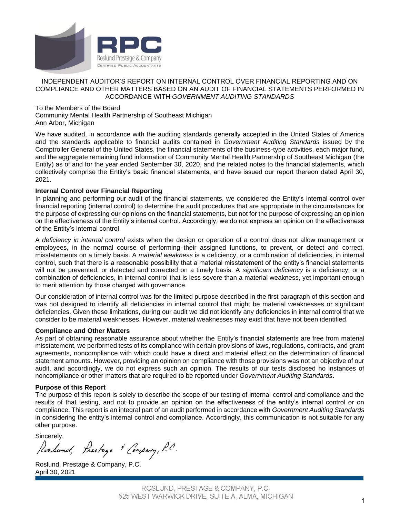

#### INDEPENDENT AUDITOR'S REPORT ON INTERNAL CONTROL OVER FINANCIAL REPORTING AND ON COMPLIANCE AND OTHER MATTERS BASED ON AN AUDIT OF FINANCIAL STATEMENTS PERFORMED IN ACCORDANCE WITH *GOVERNMENT AUDITING STANDARDS*

To the Members of the Board Community Mental Health Partnership of Southeast Michigan Ann Arbor, Michigan

We have audited, in accordance with the auditing standards generally accepted in the United States of America and the standards applicable to financial audits contained in *Government Auditing Standards* issued by the Comptroller General of the United States, the financial statements of the business-type activities, each major fund, and the aggregate remaining fund information of Community Mental Health Partnership of Southeast Michigan (the Entity) as of and for the year ended September 30, 2020, and the related notes to the financial statements, which collectively comprise the Entity's basic financial statements, and have issued our report thereon dated April 30, 2021.

## **Internal Control over Financial Reporting**

In planning and performing our audit of the financial statements, we considered the Entity's internal control over financial reporting (internal control) to determine the audit procedures that are appropriate in the circumstances for the purpose of expressing our opinions on the financial statements, but not for the purpose of expressing an opinion on the effectiveness of the Entity's internal control. Accordingly, we do not express an opinion on the effectiveness of the Entity's internal control.

A *deficiency in internal control* exists when the design or operation of a control does not allow management or employees, in the normal course of performing their assigned functions, to prevent, or detect and correct, misstatements on a timely basis. A *material weakness* is a deficiency, or a combination of deficiencies, in internal control, such that there is a reasonable possibility that a material misstatement of the entity's financial statements will not be prevented, or detected and corrected on a timely basis. A *significant deficiency* is a deficiency, or a combination of deficiencies, in internal control that is less severe than a material weakness, yet important enough to merit attention by those charged with governance.

Our consideration of internal control was for the limited purpose described in the first paragraph of this section and was not designed to identify all deficiencies in internal control that might be material weaknesses or significant deficiencies. Given these limitations, during our audit we did not identify any deficiencies in internal control that we consider to be material weaknesses. However, material weaknesses may exist that have not been identified.

## **Compliance and Other Matters**

As part of obtaining reasonable assurance about whether the Entity's financial statements are free from material misstatement, we performed tests of its compliance with certain provisions of laws, regulations, contracts, and grant agreements, noncompliance with which could have a direct and material effect on the determination of financial statement amounts. However, providing an opinion on compliance with those provisions was not an objective of our audit, and accordingly, we do not express such an opinion. The results of our tests disclosed no instances of noncompliance or other matters that are required to be reported under *Government Auditing Standards*.

## **Purpose of this Report**

The purpose of this report is solely to describe the scope of our testing of internal control and compliance and the results of that testing, and not to provide an opinion on the effectiveness of the entity's internal control or on compliance. This report is an integral part of an audit performed in accordance with *Government Auditing Standards* in considering the entity's internal control and compliance. Accordingly, this communication is not suitable for any other purpose.

Sincerely,<br>Roshund, Prestage & Company, P.C.

Roslund, Prestage & Company, P.C. April 30, 2021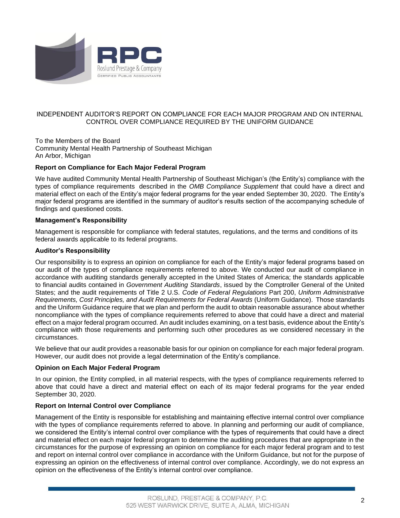

## INDEPENDENT AUDITOR'S REPORT ON COMPLIANCE FOR EACH MAJOR PROGRAM AND ON INTERNAL CONTROL OVER COMPLIANCE REQUIRED BY THE UNIFORM GUIDANCE

To the Members of the Board Community Mental Health Partnership of Southeast Michigan An Arbor, Michigan

#### **Report on Compliance for Each Major Federal Program**

We have audited Community Mental Health Partnership of Southeast Michigan's (the Entity's) compliance with the types of compliance requirements described in the *OMB Compliance Supplement* that could have a direct and material effect on each of the Entity's major federal programs for the year ended September 30, 2020. The Entity's major federal programs are identified in the summary of auditor's results section of the accompanying schedule of findings and questioned costs.

#### **Management's Responsibility**

Management is responsible for compliance with federal statutes, regulations, and the terms and conditions of its federal awards applicable to its federal programs.

#### **Auditor's Responsibility**

Our responsibility is to express an opinion on compliance for each of the Entity's major federal programs based on our audit of the types of compliance requirements referred to above. We conducted our audit of compliance in accordance with auditing standards generally accepted in the United States of America; the standards applicable to financial audits contained in *Government Auditing Standards*, issued by the Comptroller General of the United States; and the audit requirements of Title 2 U.S. *Code of Federal Regulations* Part 200, *Uniform Administrative Requirements, Cost Principles, and Audit Requirements for Federal Awards* (Uniform Guidance). Those standards and the Uniform Guidance require that we plan and perform the audit to obtain reasonable assurance about whether noncompliance with the types of compliance requirements referred to above that could have a direct and material effect on a major federal program occurred. An audit includes examining, on a test basis, evidence about the Entity's compliance with those requirements and performing such other procedures as we considered necessary in the circumstances.

We believe that our audit provides a reasonable basis for our opinion on compliance for each major federal program. However, our audit does not provide a legal determination of the Entity's compliance.

#### **Opinion on Each Major Federal Program**

In our opinion, the Entity complied, in all material respects, with the types of compliance requirements referred to above that could have a direct and material effect on each of its major federal programs for the year ended September 30, 2020.

#### **Report on Internal Control over Compliance**

Management of the Entity is responsible for establishing and maintaining effective internal control over compliance with the types of compliance requirements referred to above. In planning and performing our audit of compliance, we considered the Entity's internal control over compliance with the types of requirements that could have a direct and material effect on each major federal program to determine the auditing procedures that are appropriate in the circumstances for the purpose of expressing an opinion on compliance for each major federal program and to test and report on internal control over compliance in accordance with the Uniform Guidance, but not for the purpose of expressing an opinion on the effectiveness of internal control over compliance. Accordingly, we do not express an opinion on the effectiveness of the Entity's internal control over compliance.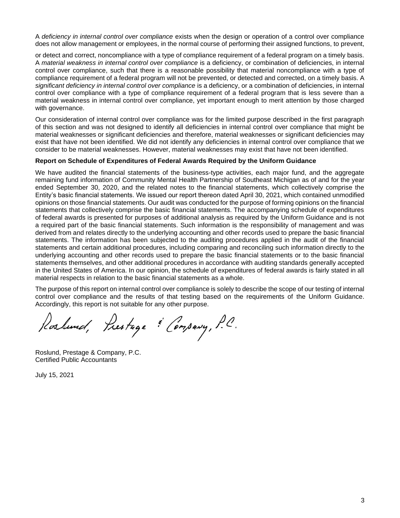A *deficiency in internal control over compliance* exists when the design or operation of a control over compliance does not allow management or employees, in the normal course of performing their assigned functions, to prevent,

or detect and correct, noncompliance with a type of compliance requirement of a federal program on a timely basis. A *material weakness in internal control over compliance* is a deficiency, or combination of deficiencies, in internal control over compliance, such that there is a reasonable possibility that material noncompliance with a type of compliance requirement of a federal program will not be prevented, or detected and corrected, on a timely basis. A *significant deficiency in internal control over compliance* is a deficiency, or a combination of deficiencies, in internal control over compliance with a type of compliance requirement of a federal program that is less severe than a material weakness in internal control over compliance, yet important enough to merit attention by those charged with governance.

Our consideration of internal control over compliance was for the limited purpose described in the first paragraph of this section and was not designed to identify all deficiencies in internal control over compliance that might be material weaknesses or significant deficiencies and therefore, material weaknesses or significant deficiencies may exist that have not been identified. We did not identify any deficiencies in internal control over compliance that we consider to be material weaknesses. However, material weaknesses may exist that have not been identified.

#### **Report on Schedule of Expenditures of Federal Awards Required by the Uniform Guidance**

We have audited the financial statements of the business-type activities, each major fund, and the aggregate remaining fund information of Community Mental Health Partnership of Southeast Michigan as of and for the year ended September 30, 2020, and the related notes to the financial statements, which collectively comprise the Entity's basic financial statements. We issued our report thereon dated April 30, 2021, which contained unmodified opinions on those financial statements. Our audit was conducted for the purpose of forming opinions on the financial statements that collectively comprise the basic financial statements. The accompanying schedule of expenditures of federal awards is presented for purposes of additional analysis as required by the Uniform Guidance and is not a required part of the basic financial statements. Such information is the responsibility of management and was derived from and relates directly to the underlying accounting and other records used to prepare the basic financial statements. The information has been subjected to the auditing procedures applied in the audit of the financial statements and certain additional procedures, including comparing and reconciling such information directly to the underlying accounting and other records used to prepare the basic financial statements or to the basic financial statements themselves, and other additional procedures in accordance with auditing standards generally accepted in the United States of America. In our opinion, the schedule of expenditures of federal awards is fairly stated in all material respects in relation to the basic financial statements as a whole.

The purpose of this report on internal control over compliance is solely to describe the scope of our testing of internal control over compliance and the results of that testing based on the requirements of the Uniform Guidance. Accordingly, this report is not suitable for any other purpose.

Roslund, Prestage & Company, P.C.

Roslund, Prestage & Company, P.C. Certified Public Accountants

July 15, 2021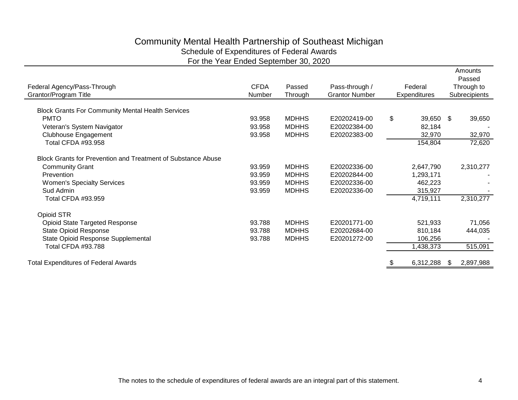# Community Mental Health Partnership of Southeast Michigan Schedule of Expenditures of Federal Awards For the Year Ended September 30, 2020

|                                                              |             |              |                       |                     | Amounts<br>Passed |
|--------------------------------------------------------------|-------------|--------------|-----------------------|---------------------|-------------------|
| Federal Agency/Pass-Through                                  | <b>CFDA</b> | Passed       | Pass-through /        | Federal             | Through to        |
| Grantor/Program Title                                        | Number      | Through      | <b>Grantor Number</b> | <b>Expenditures</b> | Subrecipients     |
| <b>Block Grants For Community Mental Health Services</b>     |             |              |                       |                     |                   |
| <b>PMTO</b>                                                  | 93.958      | <b>MDHHS</b> | E20202419-00          | \$<br>$39,650$ \$   | 39,650            |
| Veteran's System Navigator                                   | 93.958      | <b>MDHHS</b> | E20202384-00          | 82,184              |                   |
| <b>Clubhouse Engagement</b>                                  | 93.958      | <b>MDHHS</b> | E20202383-00          | 32,970              | 32,970            |
| Total CFDA #93.958                                           |             |              |                       | 154,804             | 72,620            |
| Block Grants for Prevention and Treatment of Substance Abuse |             |              |                       |                     |                   |
| <b>Community Grant</b>                                       | 93.959      | <b>MDHHS</b> | E20202336-00          | 2,647,790           | 2,310,277         |
| Prevention                                                   | 93.959      | <b>MDHHS</b> | E20202844-00          | 1,293,171           |                   |
| <b>Women's Specialty Services</b>                            | 93.959      | <b>MDHHS</b> | E20202336-00          | 462,223             |                   |
| Sud Admin                                                    | 93.959      | <b>MDHHS</b> | E20202336-00          | 315,927             |                   |
| Total CFDA #93.959                                           |             |              |                       | 4,719,111           | 2,310,277         |
| Opioid STR                                                   |             |              |                       |                     |                   |
| <b>Opioid State Targeted Response</b>                        | 93.788      | <b>MDHHS</b> | E20201771-00          | 521,933             | 71,056            |
| <b>State Opioid Response</b>                                 | 93.788      | <b>MDHHS</b> | E20202684-00          | 810,184             | 444,035           |
| State Opioid Response Supplemental                           | 93.788      | <b>MDHHS</b> | E20201272-00          | 106,256             |                   |
| Total CFDA #93.788                                           |             |              |                       | 1,438,373           | 515,091           |
| <b>Total Expenditures of Federal Awards</b>                  |             |              |                       | 6,312,288           | 2,897,988<br>\$.  |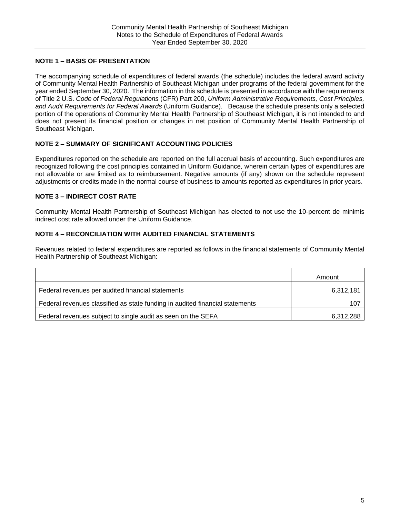## **NOTE 1 – BASIS OF PRESENTATION**

The accompanying schedule of expenditures of federal awards (the schedule) includes the federal award activity of Community Mental Health Partnership of Southeast Michigan under programs of the federal government for the year ended September 30, 2020. The information in this schedule is presented in accordance with the requirements of Title 2 U.S. *Code of Federal Regulations* (CFR) Part 200, *Uniform Administrative Requirements, Cost Principles, and Audit Requirements for Federal Awards* (Uniform Guidance)*.* Because the schedule presents only a selected portion of the operations of Community Mental Health Partnership of Southeast Michigan, it is not intended to and does not present its financial position or changes in net position of Community Mental Health Partnership of Southeast Michigan.

## **NOTE 2 – SUMMARY OF SIGNIFICANT ACCOUNTING POLICIES**

Expenditures reported on the schedule are reported on the full accrual basis of accounting. Such expenditures are recognized following the cost principles contained in Uniform Guidance*,* wherein certain types of expenditures are not allowable or are limited as to reimbursement. Negative amounts (if any) shown on the schedule represent adjustments or credits made in the normal course of business to amounts reported as expenditures in prior years.

## **NOTE 3 – INDIRECT COST RATE**

Community Mental Health Partnership of Southeast Michigan has elected to not use the 10-percent de minimis indirect cost rate allowed under the Uniform Guidance.

## **NOTE 4 – RECONCILIATION WITH AUDITED FINANCIAL STATEMENTS**

Revenues related to federal expenditures are reported as follows in the financial statements of Community Mental Health Partnership of Southeast Michigan:

|                                                                              | Amount    |
|------------------------------------------------------------------------------|-----------|
| Federal revenues per audited financial statements                            | 6,312,181 |
| Federal revenues classified as state funding in audited financial statements | 107       |
| Federal revenues subject to single audit as seen on the SEFA                 | 6,312,288 |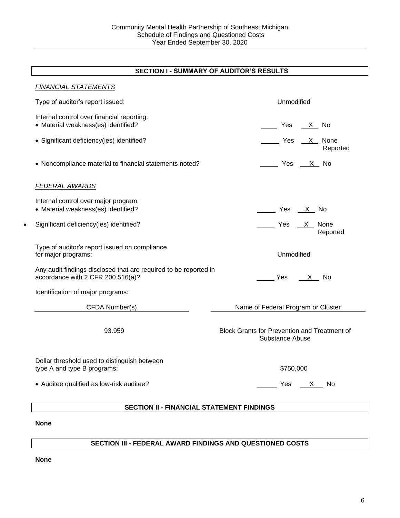## **SECTION I - SUMMARY OF AUDITOR'S RESULTS**

| <b>FINANCIAL STATEMENTS</b>                                                                           |                                                                        |  |  |
|-------------------------------------------------------------------------------------------------------|------------------------------------------------------------------------|--|--|
| Type of auditor's report issued:                                                                      | Unmodified                                                             |  |  |
| Internal control over financial reporting:<br>• Material weakness(es) identified?                     |                                                                        |  |  |
| • Significant deficiency(ies) identified?                                                             | Yes X None<br>Reported                                                 |  |  |
| • Noncompliance material to financial statements noted?                                               | Ves X No                                                               |  |  |
| <u>FEDERAL AWARDS</u>                                                                                 |                                                                        |  |  |
| Internal control over major program:<br>• Material weakness(es) identified?                           | $\frac{1}{\sqrt{1-x^2}}$ Yes $\frac{X}{X}$ No                          |  |  |
| Significant deficiency(ies) identified?                                                               | $\frac{1}{1}$ Yes $\frac{X}{1}$ None<br>Reported                       |  |  |
| Type of auditor's report issued on compliance<br>for major programs:                                  | Unmodified                                                             |  |  |
| Any audit findings disclosed that are required to be reported in<br>accordance with 2 CFR 200.516(a)? | Yes X No                                                               |  |  |
| Identification of major programs:                                                                     |                                                                        |  |  |
| CFDA Number(s)                                                                                        | Name of Federal Program or Cluster                                     |  |  |
| 93.959                                                                                                | <b>Block Grants for Prevention and Treatment of</b><br>Substance Abuse |  |  |
| Dollar threshold used to distinguish between<br>type A and type B programs:                           | \$750,000                                                              |  |  |
|                                                                                                       | _______ Yes ____ X ___ No                                              |  |  |

**None**

## **SECTION III - FEDERAL AWARD FINDINGS AND QUESTIONED COSTS**

**None**